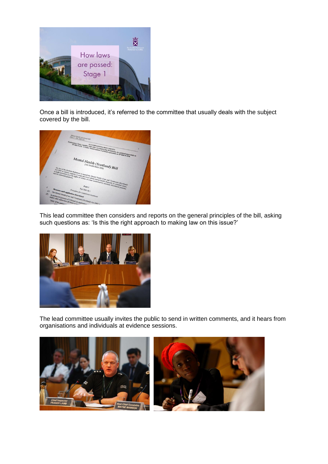

Once a bill is introduced, it's referred to the committee that usually deals with the subject covered by the bill.



This lead committee then considers and reports on the general principles of the bill, asking such questions as: 'Is this the right approach to making law on this issue?'



The lead committee usually invites the public to send in written comments, and it hears from organisations and individuals at evidence sessions.

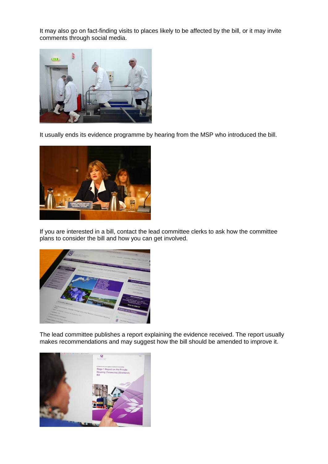It may also go on fact-finding visits to places likely to be affected by the bill, or it may invite comments through social media.



It usually ends its evidence programme by hearing from the MSP who introduced the bill.



If you are interested in a bill, contact the lead committee clerks to ask how the committee plans to consider the bill and how you can get involved.



The lead committee publishes a report explaining the evidence received. The report usually makes recommendations and may suggest how the bill should be amended to improve it.